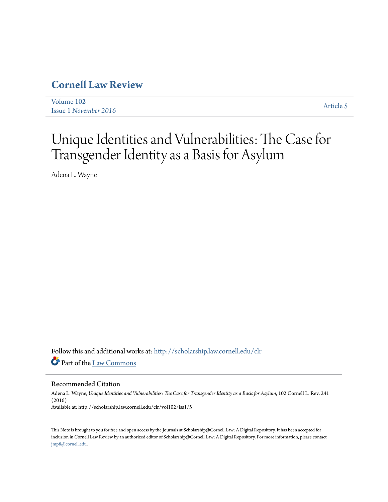# **[Cornell Law Review](http://scholarship.law.cornell.edu/clr?utm_source=scholarship.law.cornell.edu%2Fclr%2Fvol102%2Fiss1%2F5&utm_medium=PDF&utm_campaign=PDFCoverPages)**

[Volume 102](http://scholarship.law.cornell.edu/clr/vol102?utm_source=scholarship.law.cornell.edu%2Fclr%2Fvol102%2Fiss1%2F5&utm_medium=PDF&utm_campaign=PDFCoverPages) Issue 1 *[November 2016](http://scholarship.law.cornell.edu/clr/vol102/iss1?utm_source=scholarship.law.cornell.edu%2Fclr%2Fvol102%2Fiss1%2F5&utm_medium=PDF&utm_campaign=PDFCoverPages)* [Article 5](http://scholarship.law.cornell.edu/clr/vol102/iss1/5?utm_source=scholarship.law.cornell.edu%2Fclr%2Fvol102%2Fiss1%2F5&utm_medium=PDF&utm_campaign=PDFCoverPages)

# Unique Identities and Vulnerabilities: The Case for Transgender Identity as a Basis for Asylum

Adena L. Wayne

Follow this and additional works at: [http://scholarship.law.cornell.edu/clr](http://scholarship.law.cornell.edu/clr?utm_source=scholarship.law.cornell.edu%2Fclr%2Fvol102%2Fiss1%2F5&utm_medium=PDF&utm_campaign=PDFCoverPages) Part of the [Law Commons](http://network.bepress.com/hgg/discipline/578?utm_source=scholarship.law.cornell.edu%2Fclr%2Fvol102%2Fiss1%2F5&utm_medium=PDF&utm_campaign=PDFCoverPages)

#### Recommended Citation

Adena L. Wayne, *Unique Identities and Vulnerabilities: The Case for Transgender Identity as a Basis for Asylum*, 102 Cornell L. Rev. 241 (2016) Available at: http://scholarship.law.cornell.edu/clr/vol102/iss1/5

This Note is brought to you for free and open access by the Journals at Scholarship@Cornell Law: A Digital Repository. It has been accepted for inclusion in Cornell Law Review by an authorized editor of Scholarship@Cornell Law: A Digital Repository. For more information, please contact [jmp8@cornell.edu.](mailto:jmp8@cornell.edu)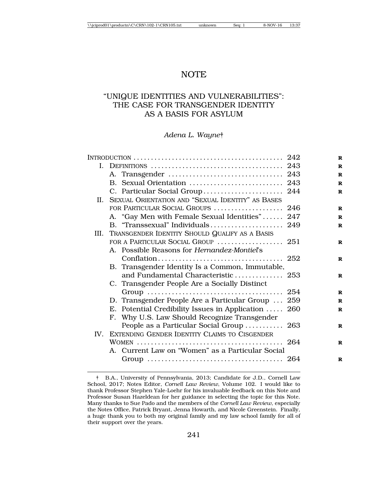# **NOTE**

# "UNIQUE IDENTITIES AND VULNERABILITIES": THE CASE FOR TRANSGENDER IDENTITY AS A BASIS FOR ASYLUM

### *Adena L. Wayne*†

|         |  | I. DEFINITIONS $\ldots \ldots \ldots \ldots \ldots \ldots \ldots \ldots \ldots \ldots \ldots \ldots \ldots$ 243 |  |
|---------|--|-----------------------------------------------------------------------------------------------------------------|--|
|         |  |                                                                                                                 |  |
|         |  | B. Sexual Orientation  243                                                                                      |  |
|         |  | C. Particular Social Group 244                                                                                  |  |
| $\Pi$ . |  | SEXUAL ORIENTATION AND "SEXUAL IDENTITY" AS BASES                                                               |  |
|         |  | FOR PARTICULAR SOCIAL GROUPS  246                                                                               |  |
|         |  | A. "Gay Men with Female Sexual Identities" 247                                                                  |  |
|         |  | B. "Transsexual" Individuals 249                                                                                |  |
|         |  | III. TRANSGENDER IDENTITY SHOULD QUALIFY AS A BASIS                                                             |  |
|         |  | FOR A PARTICULAR SOCIAL GROUP  251                                                                              |  |
|         |  | A. Possible Reasons for Hernandez-Montiel's                                                                     |  |
|         |  |                                                                                                                 |  |
|         |  | B. Transgender Identity Is a Common, Immutable,                                                                 |  |
|         |  | and Fundamental Characteristic 253                                                                              |  |
|         |  | C. Transgender People Are a Socially Distinct                                                                   |  |
|         |  |                                                                                                                 |  |
|         |  | D. Transgender People Are a Particular Group  259                                                               |  |
|         |  | E. Potential Credibility Issues in Application  260                                                             |  |
|         |  | F. Why U.S. Law Should Recognize Transgender                                                                    |  |
|         |  | People as a Particular Social Group  263                                                                        |  |
|         |  | IV. EXTENDING GENDER IDENTITY CLAIMS TO CISGENDER                                                               |  |
|         |  |                                                                                                                 |  |
|         |  | A. Current Law on "Women" as a Particular Social                                                                |  |
|         |  |                                                                                                                 |  |

<sup>†</sup> B.A., University of Pennsylvania, 2013; Candidate for J.D., Cornell Law School, 2017; Notes Editor, *Cornell Law Review*, Volume 102. I would like to thank Professor Stephen Yale-Loehr for his invaluable feedback on this Note and Professor Susan Hazeldean for her guidance in selecting the topic for this Note. Many thanks to Sue Pado and the members of the *Cornell Law Review*, especially the Notes Office, Patrick Bryant, Jenna Howarth, and Nicole Greenstein. Finally, a huge thank you to both my original family and my law school family for all of their support over the years.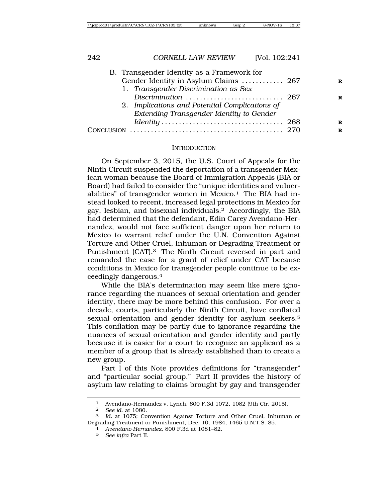| B. Transgender Identity as a Framework for     |  |
|------------------------------------------------|--|
| Gender Identity in Asylum Claims  267          |  |
| 1. Transgender Discrimination as Sex           |  |
|                                                |  |
| 2. Implications and Potential Complications of |  |
| Extending Transgender Identity to Gender       |  |
|                                                |  |
|                                                |  |
|                                                |  |

#### INTRODUCTION

On September 3, 2015, the U.S. Court of Appeals for the Ninth Circuit suspended the deportation of a transgender Mexican woman because the Board of Immigration Appeals (BIA or Board) had failed to consider the "unique identities and vulnerabilities" of transgender women in Mexico.<sup>1</sup> The BIA had instead looked to recent, increased legal protections in Mexico for gay, lesbian, and bisexual individuals.2 Accordingly, the BIA had determined that the defendant, Edin Carey Avendano-Hernandez, would not face sufficient danger upon her return to Mexico to warrant relief under the U.N. Convention Against Torture and Other Cruel, Inhuman or Degrading Treatment or Punishment (CAT).3 The Ninth Circuit reversed in part and remanded the case for a grant of relief under CAT because conditions in Mexico for transgender people continue to be exceedingly dangerous.4

While the BIA's determination may seem like mere ignorance regarding the nuances of sexual orientation and gender identity, there may be more behind this confusion. For over a decade, courts, particularly the Ninth Circuit, have conflated sexual orientation and gender identity for asylum seekers.<sup>5</sup> This conflation may be partly due to ignorance regarding the nuances of sexual orientation and gender identity and partly because it is easier for a court to recognize an applicant as a member of a group that is already established than to create a new group.

Part I of this Note provides definitions for "transgender" and "particular social group." Part II provides the history of asylum law relating to claims brought by gay and transgender

<sup>1</sup> Avendano-Hernandez v. Lynch, 800 F.3d 1072, 1082 (9th Cir. 2015).

<sup>2</sup> *See id*. at 1080.

<sup>3</sup> *Id.* at 1075; Convention Against Torture and Other Cruel, Inhuman or Degrading Treatment or Punishment, Dec. 10, 1984, 1465 U.N.T.S. 85. <sup>4</sup> *Avendano-Hernandez*, 800 F.3d at 1081–82.

<sup>5</sup> *See infra* Part II.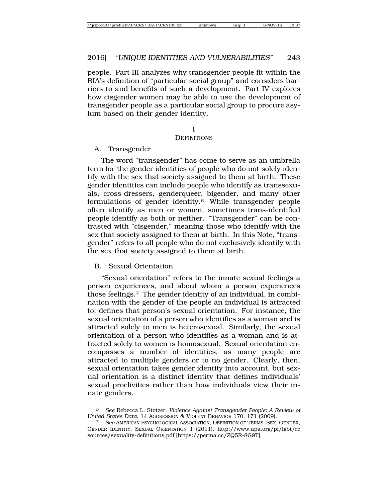people. Part III analyzes why transgender people fit within the BIA's definition of "particular social group" and considers barriers to and benefits of such a development. Part IV explores how cisgender women may be able to use the development of transgender people as a particular social group to procure asylum based on their gender identity.

#### I

#### **DEFINITIONS**

A. Transgender

The word "transgender" has come to serve as an umbrella term for the gender identities of people who do not solely identify with the sex that society assigned to them at birth. These gender identities can include people who identify as transsexuals, cross-dressers, genderqueer, bigender, and many other formulations of gender identity.6 While transgender people often identify as men or women, sometimes trans-identified people identify as both or neither. "Transgender" can be contrasted with "cisgender," meaning those who identify with the sex that society assigned to them at birth. In this Note, "transgender" refers to all people who do not exclusively identify with the sex that society assigned to them at birth.

## B. Sexual Orientation

"Sexual orientation" refers to the innate sexual feelings a person experiences, and about whom a person experiences those feelings.7 The gender identity of an individual, in combination with the gender of the people an individual is attracted to, defines that person's sexual orientation. For instance, the sexual orientation of a person who identifies as a woman and is attracted solely to men is heterosexual. Similarly, the sexual orientation of a person who identifies as a woman and is attracted solely to women is homosexual. Sexual orientation encompasses a number of identities, as many people are attracted to multiple genders or to no gender. Clearly, then, sexual orientation takes gender identity into account, but sexual orientation is a distinct identity that defines individuals' sexual proclivities rather than how individuals view their innate genders.

<sup>6</sup> *See* Rebecca L. Stotzer, *Violence Against Transgender People: A Review of United States Data*, 14 AGGRESSION & VIOLENT BEHAVIOR 170, 171 (2009). <sup>7</sup> *See* AMERICAN PSYCHOLOGICAL ASSOCIATION, DEFINITION OF TERMS: SEX, GENDER,

GENDER IDENTITY, SEXUAL ORIENTATION 1 (2011), http://www.apa.org/pi/lgbt/re sources/sexuality-definitions.pdf [https://perma.cc/ZQ5R-8G9T].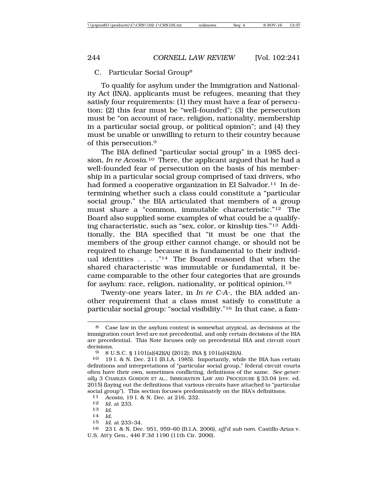#### C. Particular Social Group8

To qualify for asylum under the Immigration and Nationality Act (INA), applicants must be refugees, meaning that they satisfy four requirements: (1) they must have a fear of persecution; (2) this fear must be "well-founded"; (3) the persecution must be "on account of race, religion, nationality, membership in a particular social group, or political opinion"; and (4) they must be unable or unwilling to return to their country because of this persecution.9

The BIA defined "particular social group" in a 1985 decision, *In re Acosta*.10 There, the applicant argued that he had a well-founded fear of persecution on the basis of his membership in a particular social group comprised of taxi drivers, who had formed a cooperative organization in El Salvador.<sup>11</sup> In determining whether such a class could constitute a "particular social group," the BIA articulated that members of a group must share a "common, immutable characteristic."12 The Board also supplied some examples of what could be a qualifying characteristic, such as "sex, color, or kinship ties."13 Additionally, the BIA specified that "it must be one that the members of the group either cannot change, or should not be required to change because it is fundamental to their individual identities  $\ldots$  . . . . . . . . . The Board reasoned that when the shared characteristic was immutable or fundamental, it became comparable to the other four categories that are grounds for asylum: race, religion, nationality, or political opinion.15

Twenty-one years later, in *In re C-A-*, the BIA added another requirement that a class must satisfy to constitute a particular social group: "social visibility."16 In that case, a fam-

11 *Acosta*, 19 I. & N. Dec. at 216, 232.

12 *Id.* at 233.

- <sup>13</sup> *Id.* <sup>14</sup> *Id.*
- 
- 15 *Id.* at 233–34.

16 23 I. & N. Dec. 951, 959–60 (B.I.A. 2006), *aff'd sub nom*. Castillo-Arias v. U.S. Att'y Gen., 446 F.3d 1190 (11th Cir. 2006).

<sup>8</sup> Case law in the asylum context is somewhat atypical, as decisions at the immigration court level are not precedential, and only certain decisions of the BIA are precedential. This Note focuses only on precedential BIA and circuit court decisions.

<sup>9</sup> 8 U.S.C. § 1101(a)(42)(A) (2012); INA § 101(a)(42)(A).

<sup>10</sup> 19 I. & N. Dec. 211 (B.I.A. 1985). Importantly, while the BIA has certain definitions and interpretations of "particular social group," federal circuit courts often have their own, sometimes conflicting, definitions of the same. *See generally* 3 CHARLES GORDON ET AL., IMMIGRATION LAW AND PROCEDURE § 33.04 (rev. ed. 2015) (laying out the definitions that various circuits have attached to "particular social group"). This section focuses predominately on the BIA's definitions.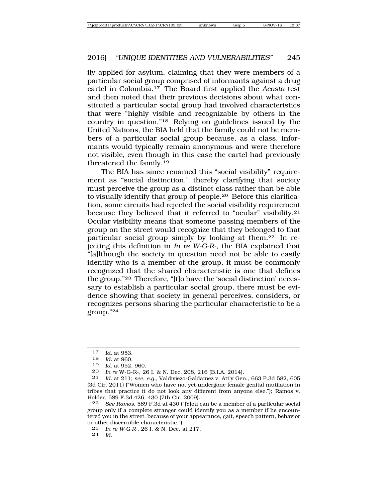ily applied for asylum, claiming that they were members of a particular social group comprised of informants against a drug cartel in Colombia.17 The Board first applied the *Acosta* test and then noted that their previous decisions about what constituted a particular social group had involved characteristics that were "highly visible and recognizable by others in the country in question."18 Relying on guidelines issued by the United Nations, the BIA held that the family could not be members of a particular social group because, as a class, informants would typically remain anonymous and were therefore not visible, even though in this case the cartel had previously threatened the family.19

The BIA has since renamed this "social visibility" requirement as "social distinction," thereby clarifying that society must perceive the group as a distinct class rather than be able to visually identify that group of people.20 Before this clarification, some circuits had rejected the social visibility requirement because they believed that it referred to "ocular" visibility.21 Ocular visibility means that someone passing members of the group on the street would recognize that they belonged to that particular social group simply by looking at them.22 In rejecting this definition in *In re W-G-R-*, the BIA explained that "[a]lthough the society in question need not be able to easily identify who is a member of the group, it must be commonly recognized that the shared characteristic is one that defines the group."23 Therefore, "[t]o have the 'social distinction' necessary to establish a particular social group, there must be evidence showing that society in general perceives, considers, or recognizes persons sharing the particular characteristic to be a group."24

22 *See Ramos*, 589 F.3d at 430 ("[Y]ou can be a member of a particular social group only if a complete stranger could identify you as a member if he encountered you in the street, because of your appearance, gait, speech pattern, behavior or other discernible characteristic.").

<sup>17</sup> *Id.* at 953.<br>18 *Id* at 960

<sup>18</sup> *Id.* at 960.

<sup>19</sup> *Id.* at 952, 960.

<sup>20</sup> *In re* W-G-R-, 26 I. & N. Dec. 208, 216 (B.I.A. 2014).

<sup>21</sup> *Id.* at 211; *see, e.g.*, Valdiviezo-Galdamez v. Att'y Gen., 663 F.3d 582, 605 (3d Cir. 2011) ("Women who have not yet undergone female genital mutilation in tribes that practice it do not look any different from anyone else."); Ramos v. Holder, 589 F.3d 426, 430 (7th Cir. 2009).

<sup>23</sup> *In re W-G-R-*, 26 I. & N. Dec. at 217.

<sup>24</sup> *Id.*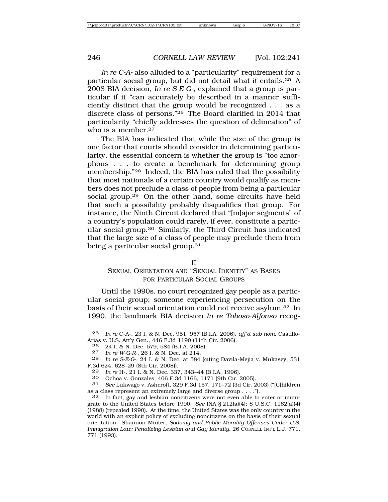*In re C-A-* also alluded to a "particularity" requirement for a particular social group, but did not detail what it entails.25 A 2008 BIA decision, *In re S-E-G-*, explained that a group is particular if it "can accurately be described in a manner sufficiently distinct that the group would be recognized . . . as a discrete class of persons."26 The Board clarified in 2014 that particularity "chiefly addresses the question of delineation" of who is a member.<sup>27</sup>

The BIA has indicated that while the size of the group is one factor that courts should consider in determining particularity, the essential concern is whether the group is "too amorphous . . . to create a benchmark for determining group membership."28 Indeed, the BIA has ruled that the possibility that most nationals of a certain country would qualify as members does not preclude a class of people from being a particular social group.29 On the other hand, some circuits have held that such a possibility probably disqualifies that group. For instance, the Ninth Circuit declared that "[m]ajor segments" of a country's population could rarely, if ever, constitute a particular social group.30 Similarly, the Third Circuit has indicated that the large size of a class of people may preclude them from being a particular social group.<sup>31</sup>

#### II

# SEXUAL ORIENTATION AND "SEXUAL IDENTITY" AS BASES FOR PARTICULAR SOCIAL GROUPS

Until the 1990s, no court recognized gay people as a particular social group; someone experiencing persecution on the basis of their sexual orientation could not receive asylum.32 In 1990, the landmark BIA decision *In re Toboso-Alfonso* recog-

<sup>25</sup> *In re* C-A-, 23 I. & N. Dec. 951, 957 (B.I.A. 2006), *aff'd sub nom*. Castillo-Arias v. U.S. Att'y Gen., 446 F.3d 1190 (11th Cir. 2006).

<sup>26 24</sup> I. & N. Dec. 579, 584 (B.I.A. 2008).<br>27 In re W-G-R- 26 I & N. Dec. at 214

<sup>27</sup> *In re W-G-R-*, 26 I. & N. Dec. at 214.

<sup>28</sup> *In re S-E-G-*, 24 I. & N. Dec. at 584 (citing Davila-Mejia v. Mukasey, 531 F.3d 624, 628–29 (8th Cir. 2008)).

<sup>29</sup> *In re* H-, 21 I. & N. Dec. 337, 343–44 (B.I.A. 1996).

<sup>30</sup> Ochoa v. Gonzales, 406 F.3d 1166, 1171 (9th Cir. 2005).

<sup>31</sup> *See* Lukwago v. Ashcroft, 329 F.3d 157, 171–72 (3d Cir. 2003) ("[C]hildren as a class represent an extremely large and diverse group . . . .").

<sup>32</sup> In fact, gay and lesbian noncitizens were not even able to enter or immigrate to the United States before 1990. *See* INA § 212(a)(4); 8 U.S.C. 1182(a)(4) (1988) (repealed 1990). At the time, the United States was the only country in the world with an explicit policy of excluding noncitizens on the basis of their sexual orientation. Shannon Minter, *Sodomy and Public Morality Offenses Under U.S. Immigration Law: Penalizing Lesbian and Gay Identity*, 26 CORNELL INT'L L.J. 771, 771 (1993).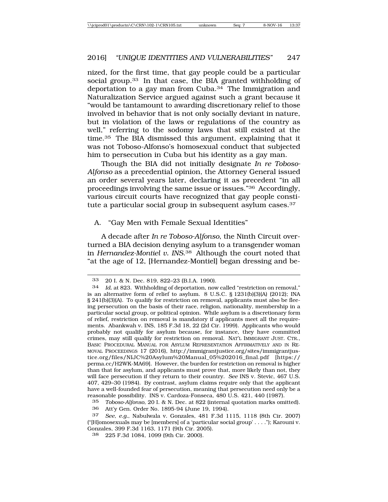nized, for the first time, that gay people could be a particular social group.<sup>33</sup> In that case, the BIA granted withholding of deportation to a gay man from Cuba.34 The Immigration and Naturalization Service argued against such a grant because it "would be tantamount to awarding discretionary relief to those involved in behavior that is not only socially deviant in nature, but in violation of the laws or regulations of the country as well," referring to the sodomy laws that still existed at the time.35 The BIA dismissed this argument, explaining that it was not Toboso-Alfonso's homosexual conduct that subjected him to persecution in Cuba but his identity as a gay man.

Though the BIA did not initially designate *In re Toboso-Alfonso* as a precedential opinion, the Attorney General issued an order several years later, declaring it as precedent "in all proceedings involving the same issue or issues."36 Accordingly, various circuit courts have recognized that gay people constitute a particular social group in subsequent asylum cases.<sup>37</sup>

A. "Gay Men with Female Sexual Identities"

A decade after *In re Toboso-Alfonso*, the Ninth Circuit overturned a BIA decision denying asylum to a transgender woman in *Hernandez-Montiel v. INS*.38 Although the court noted that "at the age of 12, [Hernandez-Montiel] began dressing and be-

<sup>33</sup> 20 I. & N. Dec. 819, 822–23 (B.I.A. 1990).

<sup>34</sup> *Id.* at 823. Withholding of deportation, now called "restriction on removal," is an alternative form of relief to asylum. 8 U.S.C. § 1231(b)(3)(A) (2012); INA § 241(b)(3)(A). To qualify for restriction on removal, applicants must also be fleeing persecution on the basis of their race, religion, nationality, membership in a particular social group, or political opinion. While asylum is a discretionary form of relief, restriction on removal is mandatory if applicants meet all the requirements. Abankwah v. INS, 185 F.3d 18, 22 (2d Cir. 1999). Applicants who would probably not qualify for asylum because, for instance, they have committed crimes, may still qualify for restriction on removal. NAT'L IMMIGRANT JUST. CTR., BASIC PROCEDURAL MANUAL FOR ASYLUM REPRESENTATION AFFIRMATIVELY AND IN RE-MOVAL PROCEEDINGS 17 (2016), http://immigrantjustice.org/sites/immigrantjustice.org/files/NIJC%20Asylum%20Manual\_05%202016\_final.pdf [https:// perma.cc/H2WK-MA69]. However, the burden for restriction on removal is higher than that for asylum, and applicants must prove that, more likely than not, they will face persecution if they return to their country. *See* INS v. Stevic, 467 U.S. 407, 429–30 (1984). By contrast, asylum claims require only that the applicant have a well-founded fear of persecution, meaning that persecution need only be a reasonable possibility. INS v. Cardoza-Fonseca, 480 U.S. 421, 440 (1987).

<sup>35</sup> *Toboso-Alfonso*, 20 I. & N. Dec. at 822 (internal quotation marks omitted). 36 Att'y Gen. Order No. 1895-94 (June 19, 1994).

<sup>37</sup> *See, e.g.*, Nabulwala v. Gonzales, 481 F.3d 1115, 1118 (8th Cir. 2007) ("[H]omosexuals may be [members] of a 'particular social group' . . . ."); Karouni v. Gonzales, 399 F.3d 1163, 1171 (9th Cir. 2005).

<sup>38</sup> 225 F.3d 1084, 1099 (9th Cir. 2000).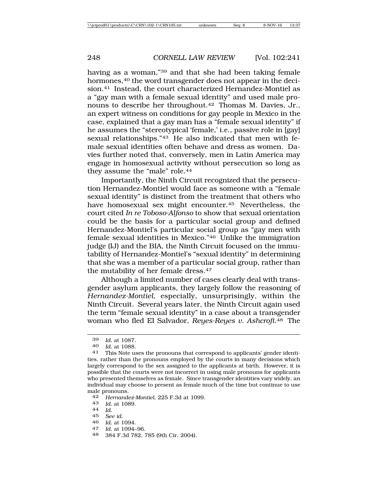having as a woman,"39 and that she had been taking female hormones,<sup>40</sup> the word transgender does not appear in the decision.41 Instead, the court characterized Hernandez-Montiel as a "gay man with a female sexual identity" and used male pronouns to describe her throughout.42 Thomas M. Davies, Jr., an expert witness on conditions for gay people in Mexico in the case, explained that a gay man has a "female sexual identity" if he assumes the "stereotypical 'female,' i.e., passive role in [gay] sexual relationships."43 He also indicated that men with female sexual identities often behave and dress as women. Davies further noted that, conversely, men in Latin America may engage in homosexual activity without persecution so long as they assume the "male" role.44

Importantly, the Ninth Circuit recognized that the persecution Hernandez-Montiel would face as someone with a "female sexual identity" is distinct from the treatment that others who have homosexual sex might encounter.45 Nevertheless, the court cited *In re Toboso-Alfonso* to show that sexual orientation could be the basis for a particular social group and defined Hernandez-Montiel's particular social group as "gay men with female sexual identities in Mexico."46 Unlike the immigration judge (IJ) and the BIA, the Ninth Circuit focused on the immutability of Hernandez-Montiel's "sexual identity" in determining that she was a member of a particular social group, rather than the mutability of her female dress.47

Although a limited number of cases clearly deal with transgender asylum applicants, they largely follow the reasoning of *Hernandez-Montiel*, especially, unsurprisingly, within the Ninth Circuit. Several years later, the Ninth Circuit again used the term "female sexual identity" in a case about a transgender woman who fled El Salvador, *Reyes-Reyes v. Ashcroft*.48 The

- <sup>43</sup> *Id.* at 1089. <sup>44</sup> *Id.*
- 
- 45 *See id.*
- 
- <sup>46</sup> *Id.* at 1094. <sup>47</sup> *Id.* at 1094–96.
- 48 384 F.3d 782, 785 (9th Cir. 2004).

<sup>39</sup> *Id.* at 1087.

<sup>40</sup> *Id.* at 1088. <sup>41</sup> This Note uses the pronouns that correspond to applicants' gender identities, rather than the pronouns employed by the courts in many decisions which largely correspond to the sex assigned to the applicants at birth. However, it is possible that the courts were not incorrect in using male pronouns for applicants who presented themselves as female. Since transgender identities vary widely, an individual may choose to present as female much of the time but continue to use male pronouns.<br>42 Hernande

<sup>42</sup> *Hernandez-Montiel*, 225 F.3d at 1099.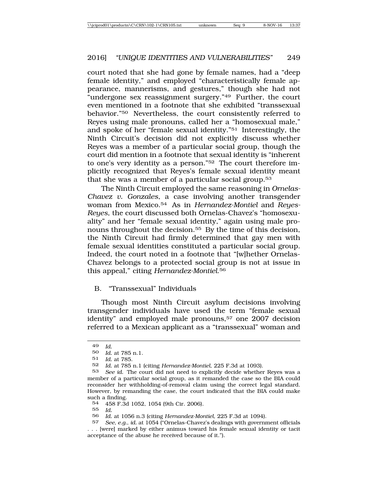court noted that she had gone by female names, had a "deep female identity," and employed "characteristically female appearance, mannerisms, and gestures," though she had not "undergone sex reassignment surgery."<sup>49</sup> Further, the court even mentioned in a footnote that she exhibited "transsexual behavior."50 Nevertheless, the court consistently referred to Reyes using male pronouns, called her a "homosexual male," and spoke of her "female sexual identity."51 Interestingly, the Ninth Circuit's decision did not explicitly discuss whether Reyes was a member of a particular social group, though the court did mention in a footnote that sexual identity is "inherent to one's very identity as a person."52 The court therefore implicitly recognized that Reyes's female sexual identity meant that she was a member of a particular social group.<sup>53</sup>

The Ninth Circuit employed the same reasoning in *Ornelas-Chavez v. Gonzales*, a case involving another transgender woman from Mexico.54 As in *Hernandez-Montiel* and *Reyes-Reyes*, the court discussed both Ornelas-Chavez's "homosexuality" and her "female sexual identity," again using male pronouns throughout the decision.<sup>55</sup> By the time of this decision, the Ninth Circuit had firmly determined that gay men with female sexual identities constituted a particular social group. Indeed, the court noted in a footnote that "[w]hether Ornelas-Chavez belongs to a protected social group is not at issue in this appeal," citing *Hernandez-Montiel*.56

### B. "Transsexual" Individuals

Though most Ninth Circuit asylum decisions involving transgender individuals have used the term "female sexual identity" and employed male pronouns,<sup>57</sup> one 2007 decision referred to a Mexican applicant as a "transsexual" woman and

<sup>49</sup> *Id.*

<sup>50</sup> *Id.* at 785 n.1.

<sup>51</sup> *Id.* at 785.

<sup>52</sup> *Id.* at 785 n.1 (citing *Hernandez-Montiel*, 225 F.3d at 1093).

<sup>53</sup> *See id.* The court did not need to explicitly decide whether Reyes was a member of a particular social group, as it remanded the case so the BIA could reconsider her withholding-of-removal claim using the correct legal standard. However, by remanding the case, the court indicated that the BIA could make such a finding.<br> $54 \quad 458 \text{ F} 36$ 

<sup>54</sup> 458 F.3d 1052, 1054 (9th Cir. 2006).

<sup>55</sup> *Id.*

<sup>56</sup> *Id.* at 1056 n.3 (citing *Hernandez-Montiel*, 225 F.3d at 1094).

<sup>57</sup> *See, e.g.*, *id.* at 1054 ("Ornelas-Chavez's dealings with government officials . . . [were] marked by either animus toward his female sexual identity or tacit acceptance of the abuse he received because of it.").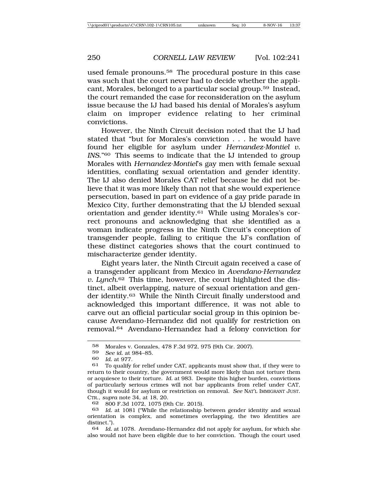used female pronouns.58 The procedural posture in this case was such that the court never had to decide whether the applicant, Morales, belonged to a particular social group.59 Instead, the court remanded the case for reconsideration on the asylum issue because the IJ had based his denial of Morales's asylum claim on improper evidence relating to her criminal convictions.

However, the Ninth Circuit decision noted that the IJ had stated that "but for Morales's conviction . . . he would have found her eligible for asylum under *Hernandez-Montiel v. INS*."60 This seems to indicate that the IJ intended to group Morales with *Hernandez-Montiel*'s gay men with female sexual identities, conflating sexual orientation and gender identity. The IJ also denied Morales CAT relief because he did not believe that it was more likely than not that she would experience persecution, based in part on evidence of a gay pride parade in Mexico City, further demonstrating that the IJ blended sexual orientation and gender identity.61 While using Morales's correct pronouns and acknowledging that she identified as a woman indicate progress in the Ninth Circuit's conception of transgender people, failing to critique the IJ's conflation of these distinct categories shows that the court continued to mischaracterize gender identity.

Eight years later, the Ninth Circuit again received a case of a transgender applicant from Mexico in *Avendano-Hernandez v. Lynch*.62 This time, however, the court highlighted the distinct, albeit overlapping, nature of sexual orientation and gender identity.63 While the Ninth Circuit finally understood and acknowledged this important difference, it was not able to carve out an official particular social group in this opinion because Avendano-Hernandez did not qualify for restriction on removal.64 Avendano-Hernandez had a felony conviction for

 $^{58}$  Morales v. Gonzales, 478 F.3d 972, 975 (9th Cir. 2007).<br> $^{59}$  See id. at 984–85

<sup>59</sup> *See id.* at 984–85.

*Id.* at 977.

 $61$  To qualify for relief under CAT, applicants must show that, if they were to return to their country, the government would more likely than not torture them or acquiesce to their torture. *Id.* at 983. Despite this higher burden, convictions of particularly serious crimes will not bar applicants from relief under CAT, though it would for asylum or restriction on removal. *See* NAT'L IMMIGRANT JUST. CTR., *supra* note 34, at 18, 20.

<sup>62</sup> 800 F.3d 1072, 1075 (9th Cir. 2015).

<sup>63</sup> *Id.* at 1081 ("While the relationship between gender identity and sexual orientation is complex, and sometimes overlapping, the two identities are distinct.").

<sup>64</sup> *Id.* at 1078. Avendano-Hernandez did not apply for asylum, for which she also would not have been eligible due to her conviction. Though the court used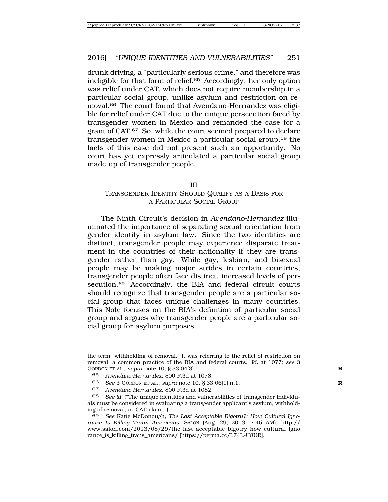drunk driving, a "particularly serious crime," and therefore was ineligible for that form of relief.65 Accordingly, her only option was relief under CAT, which does not require membership in a particular social group, unlike asylum and restriction on removal.66 The court found that Avendano-Hernandez was eligible for relief under CAT due to the unique persecution faced by transgender women in Mexico and remanded the case for a grant of CAT.67 So, while the court seemed prepared to declare transgender women in Mexico a particular social group,68 the facts of this case did not present such an opportunity. No court has yet expressly articulated a particular social group made up of transgender people.

#### III

# TRANSGENDER IDENTITY SHOULD QUALIFY AS A BASIS FOR A PARTICULAR SOCIAL GROUP

The Ninth Circuit's decision in *Avendano-Hernandez* illuminated the importance of separating sexual orientation from gender identity in asylum law. Since the two identities are distinct, transgender people may experience disparate treatment in the countries of their nationality if they are transgender rather than gay. While gay, lesbian, and bisexual people may be making major strides in certain countries, transgender people often face distinct, increased levels of persecution.69 Accordingly, the BIA and federal circuit courts should recognize that transgender people are a particular social group that faces unique challenges in many countries. This Note focuses on the BIA's definition of particular social group and argues why transgender people are a particular social group for asylum purposes.

66 *See* 3 GORDON ET AL., *supra* note 10, § 33.06[1] n.1. **R**

the term "withholding of removal," it was referring to the relief of restriction on removal, a common practice of the BIA and federal courts. *Id.* at 1077; *see* 3 GORDON ET AL., *supra* note 10, § 33.04[3]. **R**

<sup>65</sup> *Avendano-Hernandez*, 800 F.3d at 1078.

<sup>67</sup> *Avendano-Hernandez*, 800 F.3d at 1082.

<sup>68</sup> *See id.* ("The unique identities and vulnerabilities of transgender individuals must be considered in evaluating a transgender applicant's asylum, withholding of removal, or CAT claim.").

<sup>69</sup> *See* Katie McDonough, *The Last Acceptable Bigotry?: How Cultural Ignorance Is Killing Trans Americans*, SALON (Aug. 29, 2013, 7:45 AM), http:// www.salon.com/2013/08/29/the\_last\_acceptable\_bigotry\_how\_cultural\_igno rance\_is\_killing\_trans\_americans/ [https://perma.cc/L74L-U8UR].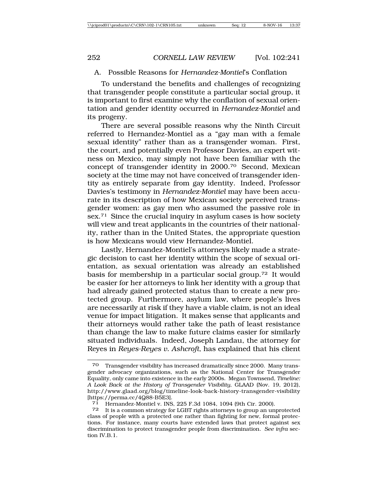#### A. Possible Reasons for *Hernandez-Montiel*'s Conflation

To understand the benefits and challenges of recognizing that transgender people constitute a particular social group, it is important to first examine why the conflation of sexual orientation and gender identity occurred in *Hernandez-Montiel* and its progeny.

There are several possible reasons why the Ninth Circuit referred to Hernandez-Montiel as a "gay man with a female sexual identity" rather than as a transgender woman. First, the court, and potentially even Professor Davies, an expert witness on Mexico, may simply not have been familiar with the concept of transgender identity in 2000.70 Second, Mexican society at the time may not have conceived of transgender identity as entirely separate from gay identity. Indeed, Professor Davies's testimony in *Hernandez-Montiel* may have been accurate in its description of how Mexican society perceived transgender women: as gay men who assumed the passive role in sex.71 Since the crucial inquiry in asylum cases is how society will view and treat applicants in the countries of their nationality, rather than in the United States, the appropriate question is how Mexicans would view Hernandez-Montiel.

Lastly, Hernandez-Montiel's attorneys likely made a strategic decision to cast her identity within the scope of sexual orientation, as sexual orientation was already an established basis for membership in a particular social group.72 It would be easier for her attorneys to link her identity with a group that had already gained protected status than to create a new protected group. Furthermore, asylum law, where people's lives are necessarily at risk if they have a viable claim, is not an ideal venue for impact litigation. It makes sense that applicants and their attorneys would rather take the path of least resistance than change the law to make future claims easier for similarly situated individuals. Indeed, Joseph Landau, the attorney for Reyes in *Reyes-Reyes v. Ashcroft*, has explained that his client

<sup>70</sup> Transgender visibility has increased dramatically since 2000. Many transgender advocacy organizations, such as the National Center for Transgender Equality, only came into existence in the early 2000s. Megan Townsend, *Timeline: A Look Back at the History of Transgender Visibility*, GLAAD (Nov. 19, 2012), http://www.glaad.org/blog/timeline-look-back-history-transgender-visibility [https://perma.cc/4Q88-B5E3].

<sup>71</sup> Hernandez-Montiel v. INS, 225 F.3d 1084, 1094 (9th Cir. 2000).

<sup>72</sup> It is a common strategy for LGBT rights attorneys to group an unprotected class of people with a protected one rather than fighting for new, formal protections. For instance, many courts have extended laws that protect against sex discrimination to protect transgender people from discrimination. *See infra* section IV.B.1.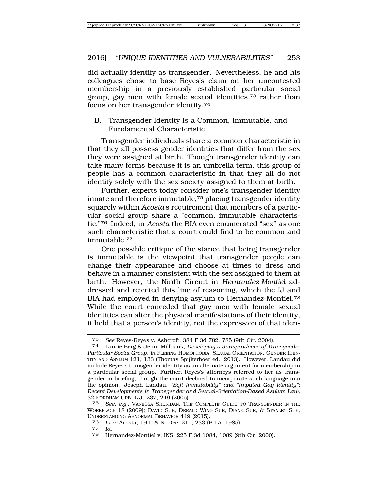did actually identify as transgender. Nevertheless, he and his colleagues chose to base Reyes's claim on her uncontested membership in a previously established particular social group, gay men with female sexual identities,73 rather than focus on her transgender identity.74

B. Transgender Identity Is a Common, Immutable, and Fundamental Characteristic

Transgender individuals share a common characteristic in that they all possess gender identities that differ from the sex they were assigned at birth. Though transgender identity can take many forms because it is an umbrella term, this group of people has a common characteristic in that they all do not identify solely with the sex society assigned to them at birth.

Further, experts today consider one's transgender identity innate and therefore immutable,75 placing transgender identity squarely within *Acosta*'s requirement that members of a particular social group share a "common, immutable characteristic."76 Indeed, in *Acosta* the BIA even enumerated "sex" as one such characteristic that a court could find to be common and immutable.77

One possible critique of the stance that being transgender is immutable is the viewpoint that transgender people can change their appearance and choose at times to dress and behave in a manner consistent with the sex assigned to them at birth. However, the Ninth Circuit in *Hernandez-Montiel* addressed and rejected this line of reasoning, which the IJ and BIA had employed in denying asylum to Hernandez-Montiel.78 While the court conceded that gay men with female sexual identities can alter the physical manifestations of their identity, it held that a person's identity, not the expression of that iden-

<sup>73</sup> *See* Reyes-Reyes v. Ashcroft, 384 F.3d 782, 785 (9th Cir. 2004). <sup>74</sup> Laurie Berg & Jenni Millbank, *Developing a Jurisprudence of Transgender*

*Particular Social Group*, *in* FLEEING HOMOPHOBIA: SEXUAL ORIENTATION, GENDER IDEN-TITY AND ASYLUM 121, 133 (Thomas Spijkerboer ed., 2013). However, Landau did include Reyes's transgender identity as an alternate argument for membership in a particular social group. Further, Reyes's attorneys referred to her as transgender in briefing, though the court declined to incorporate such language into the opinion. Joseph Landau, *"Soft Immutability" and "Imputed Gay Identity": Recent Developments in Transgender and Sexual-Orientation-Based Asylum Law*, 32 FORDHAM URB. L.J. 237, 249 (2005).

<sup>75</sup> *See, e.g.*, VANESSA SHERIDAN, THE COMPLETE GUIDE TO TRANSGENDER IN THE WORKPLACE 18 (2009); DAVID SUE, DERALD WING SUE, DIANE SUE, & STANLEY SUE, UNDERSTANDING ABNORMAL BEHAVIOR 449 (2015).

<sup>76</sup> *In re* Acosta, 19 I. & N. Dec. 211, 233 (B.I.A. 1985). <sup>77</sup> *Id.*

<sup>78</sup> Hernandez-Montiel v. INS, 225 F.3d 1084, 1089 (9th Cir. 2000).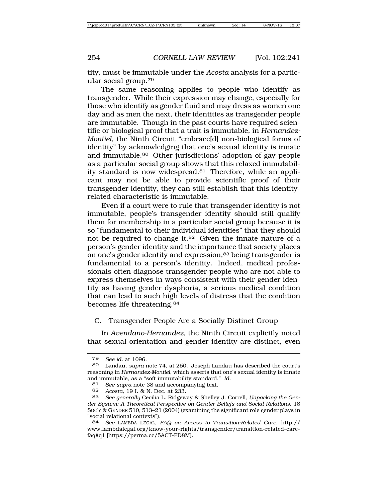tity, must be immutable under the *Acosta* analysis for a particular social group.79

The same reasoning applies to people who identify as transgender. While their expression may change, especially for those who identify as gender fluid and may dress as women one day and as men the next, their identities as transgender people are immutable. Though in the past courts have required scientific or biological proof that a trait is immutable, in *Hernandez-Montiel*, the Ninth Circuit "embrace[d] non-biological forms of identity" by acknowledging that one's sexual identity is innate and immutable.80 Other jurisdictions' adoption of gay people as a particular social group shows that this relaxed immutability standard is now widespread.<sup>81</sup> Therefore, while an applicant may not be able to provide scientific proof of their transgender identity, they can still establish that this identityrelated characteristic is immutable.

Even if a court were to rule that transgender identity is not immutable, people's transgender identity should still qualify them for membership in a particular social group because it is so "fundamental to their individual identities" that they should not be required to change it.<sup>82</sup> Given the innate nature of a person's gender identity and the importance that society places on one's gender identity and expression,<sup>83</sup> being transgender is fundamental to a person's identity. Indeed, medical professionals often diagnose transgender people who are not able to express themselves in ways consistent with their gender identity as having gender dysphoria, a serious medical condition that can lead to such high levels of distress that the condition becomes life threatening.84

# C. Transgender People Are a Socially Distinct Group

In *Avendano-Hernandez*, the Ninth Circuit explicitly noted that sexual orientation and gender identity are distinct, even

<sup>79</sup> *See id.* at 1096.

<sup>80</sup> Landau, *supra* note 74, at 250. Joseph Landau has described the court's reasoning in *Hernandez-Montiel*, which asserts that one's sexual identity is innate and immutable, as a "soft immutability standard." *Id.*

<sup>81</sup> *See supra* note 38 and accompanying text.<br>82 *Acosta* 19 J & N Dec at 233

<sup>82</sup> *Acosta*, 19 I. & N. Dec. at 233.

<sup>83</sup> *See generally* Cecilia L. Ridgeway & Shelley J. Correll, *Unpacking the Gender System: A Theoretical Perspective on Gender Beliefs and Social Relations*, 18 SOC'Y & GENDER 510, 513–21 (2004) (examining the significant role gender plays in "social relational contexts").

<sup>84</sup> *See* LAMBDA LEGAL, *FAQ on Access to Transition-Related Care*, http:// www.lambdalegal.org/know-your-rights/transgender/transition-related-carefaq#q1 [https://perma.cc/5ACT-PD8M].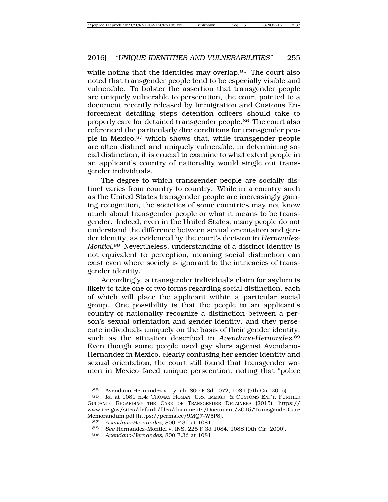while noting that the identities may overlap.<sup>85</sup> The court also noted that transgender people tend to be especially visible and vulnerable. To bolster the assertion that transgender people are uniquely vulnerable to persecution, the court pointed to a document recently released by Immigration and Customs Enforcement detailing steps detention officers should take to properly care for detained transgender people.86 The court also referenced the particularly dire conditions for transgender people in Mexico,87 which shows that, while transgender people are often distinct and uniquely vulnerable, in determining social distinction, it is crucial to examine to what extent people in an applicant's country of nationality would single out transgender individuals.

The degree to which transgender people are socially distinct varies from country to country. While in a country such as the United States transgender people are increasingly gaining recognition, the societies of some countries may not know much about transgender people or what it means to be transgender. Indeed, even in the United States, many people do not understand the difference between sexual orientation and gender identity, as evidenced by the court's decision in *Hernandez-Montiel*.88 Nevertheless, understanding of a distinct identity is not equivalent to perception, meaning social distinction can exist even where society is ignorant to the intricacies of transgender identity.

Accordingly, a transgender individual's claim for asylum is likely to take one of two forms regarding social distinction, each of which will place the applicant within a particular social group. One possibility is that the people in an applicant's country of nationality recognize a distinction between a person's sexual orientation and gender identity, and they persecute individuals uniquely on the basis of their gender identity, such as the situation described in *Avendano-Hernandez*.<sup>89</sup> Even though some people used gay slurs against Avendano-Hernandez in Mexico, clearly confusing her gender identity and sexual orientation, the court still found that transgender women in Mexico faced unique persecution, noting that "police

<sup>85</sup> Avendano-Hernandez v. Lynch, 800 F.3d 1072, 1081 (9th Cir. 2015).<br>86 Id at 1081 n 4: Thomas Homan JLS, Immigr. & Customs ENE'T. EUR

Id. at 1081 n.4; THOMAS HOMAN, U.S. IMMIGR. & CUSTOMS ENF'T, FURTHER GUIDANCE REGARDING THE CARE OF TRANSGENDER DETAINEES (2015), https:// www.ice.gov/sites/default/files/documents/Document/2015/TransgenderCare Memorandum.pdf [https://perma.cc/9MQ7-W5P8].

<sup>87</sup> *Avendano-Hernandez*, 800 F.3d at 1081.

<sup>88</sup> *See* Hernandez-Montiel v. INS, 225 F.3d 1084, 1088 (9th Cir. 2000).

<sup>89</sup> *Avendano-Hernandez*, 800 F.3d at 1081.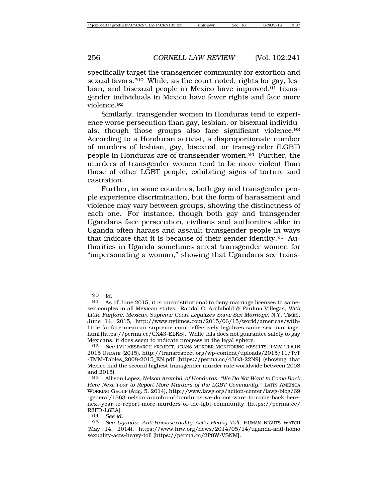specifically target the transgender community for extortion and sexual favors."90 While, as the court noted, rights for gay, lesbian, and bisexual people in Mexico have improved,<sup>91</sup> transgender individuals in Mexico have fewer rights and face more violence.92

Similarly, transgender women in Honduras tend to experience worse persecution than gay, lesbian, or bisexual individuals, though those groups also face significant violence.93 According to a Honduran activist, a disproportionate number of murders of lesbian, gay, bisexual, or transgender (LGBT) people in Honduras are of transgender women.94 Further, the murders of transgender women tend to be more violent than those of other LGBT people, exhibiting signs of torture and castration.

Further, in some countries, both gay and transgender people experience discrimination, but the form of harassment and violence may vary between groups, showing the distinctness of each one. For instance, though both gay and transgender Ugandans face persecution, civilians and authorities alike in Uganda often harass and assault transgender people in ways that indicate that it is because of their gender identity.95 Authorities in Uganda sometimes arrest transgender women for "impersonating a woman," showing that Ugandans see trans-

<sup>90</sup> *Id.*

As of June 2015, it is unconstitutional to deny marriage licenses to samesex couples in all Mexican states. Randal C. Archibold & Paulina Villegas, *With Little Fanfare, Mexican Supreme Court Legalizes Same-Sex Marriage*, N.Y. TIMES, June 14, 2015, http://www.nytimes.com/2015/06/15/world/americas/withlittle-fanfare-mexican-supreme-court-effectively-legalizes-same-sex-marriage. html [https://perma.cc/CX43-ELKS]. While this does not guarantee safety to gay Mexicans, it does seem to indicate progress in the legal sphere.

<sup>92</sup> *See* TVT RESEARCH PROJECT, TRANS MURDER MONITORING RESULTS: TMM TDOR 2015 UPDATE (2015), http://transrespect.org/wp-content/uploads/2015/11/TvT -TMM-Tables\_2008-2015\_EN.pdf [https://perma.cc/43G3-22N9] (showing that Mexico had the second highest transgender murder rate worldwide between 2008 and 2015).<br>93 Allis

<sup>93</sup> Allison Lopez, *Nelson Aramb ´u, of Honduras: "We Do Not Want to Come Back Here Next Year to Report More Murders of the LGBT Community*,*"* LATIN AMERICA WORKING GROUP (Aug. 5, 2014), http://www.lawg.org/action-center/lawg-blog/69 -general/1363-nelson-arambu-of-honduras-we-do-not-want-to-come-back-herenext-year-to-report-more-murders-of-the-lgbt-community [https://perma.cc/ R2FD-L6EA].<br>94 See id.

See *id.* 

<sup>95</sup> *See Uganda: Anti-Homosexuality Act's Heavy Toll*, HUMAN RIGHTS WATCH (May 14, 2014), https://www.hrw.org/news/2014/05/14/uganda-anti-homo sexuality-acts-heavy-toll [https://perma.cc/2P8W-VSNM].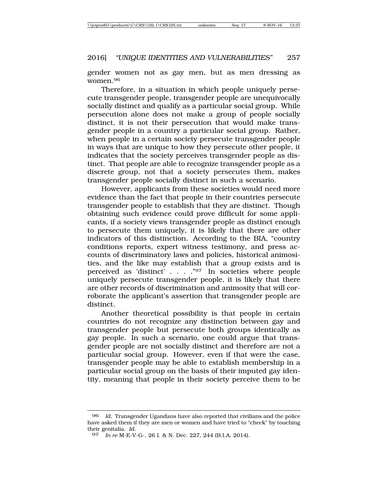gender women not as gay men, but as men dressing as women.96

Therefore, in a situation in which people uniquely persecute transgender people, transgender people are unequivocally socially distinct and qualify as a particular social group. While persecution alone does not make a group of people socially distinct, it is not their persecution that would make transgender people in a country a particular social group. Rather, when people in a certain society persecute transgender people in ways that are unique to how they persecute other people, it indicates that the society perceives transgender people as distinct. That people are able to recognize transgender people as a discrete group, not that a society persecutes them, makes transgender people socially distinct in such a scenario.

However, applicants from these societies would need more evidence than the fact that people in their countries persecute transgender people to establish that they are distinct. Though obtaining such evidence could prove difficult for some applicants, if a society views transgender people as distinct enough to persecute them uniquely, it is likely that there are other indicators of this distinction. According to the BIA, "country conditions reports, expert witness testimony, and press accounts of discriminatory laws and policies, historical animosities, and the like may establish that a group exists and is perceived as 'distinct' . . . ."97 In societies where people uniquely persecute transgender people, it is likely that there are other records of discrimination and animosity that will corroborate the applicant's assertion that transgender people are distinct.

Another theoretical possibility is that people in certain countries do not recognize any distinction between gay and transgender people but persecute both groups identically as gay people. In such a scenario, one could argue that transgender people are not socially distinct and therefore are not a particular social group. However, even if that were the case, transgender people may be able to establish membership in a particular social group on the basis of their imputed gay identity, meaning that people in their society perceive them to be

<sup>96</sup> *Id.* Transgender Ugandans have also reported that civilians and the police have asked them if they are men or women and have tried to "check" by touching their genitalia. *Id.*

<sup>97</sup> *In re* M-E-V-G-, 26 I. & N. Dec. 227, 244 (B.I.A. 2014).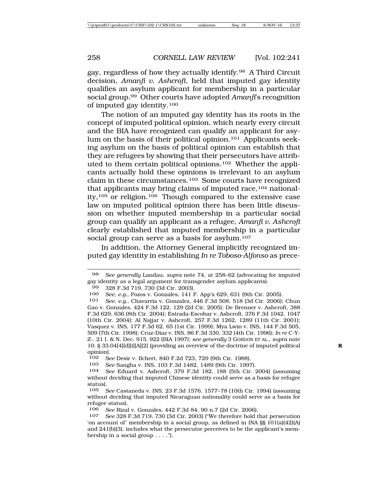gay, regardless of how they actually identify.98 A Third Circuit decision, *Amanfi v. Ashcroft*, held that imputed gay identity qualifies an asylum applicant for membership in a particular social group.99 Other courts have adopted *Amanfi*'s recognition of imputed gay identity.100

The notion of an imputed gay identity has its roots in the concept of imputed political opinion, which nearly every circuit and the BIA have recognized can qualify an applicant for asylum on the basis of their political opinion.101 Applicants seeking asylum on the basis of political opinion can establish that they are refugees by showing that their persecutors have attributed to them certain political opinions.102 Whether the applicants actually hold these opinions is irrelevant to an asylum claim in these circumstances.103 Some courts have recognized that applicants may bring claims of imputed race,104 nationality,105 or religion.106 Though compared to the extensive case law on imputed political opinion there has been little discussion on whether imputed membership in a particular social group can qualify an applicant as a refugee, *Amanfi v. Ashcroft* clearly established that imputed membership in a particular social group can serve as a basis for asylum.<sup>107</sup>

In addition, the Attorney General implicitly recognized imputed gay identity in establishing *In re Toboso-Alfonso* as prece-

<sup>98</sup> *See generally* Landau, *supra* note 74, at 258–62 (advocating for imputed gay identity as a legal argument for transgender asylum applicants).

<sup>99 328</sup> F.3d 719, 730 (3d Cir. 2003).<br>100 See e.g. Pozos v Gonzales 141 F

<sup>100</sup> *See, e.g.*, Pozos v. Gonzales, 141 F. App'x 629, 631 (9th Cir. 2005).

<sup>101</sup> *See, e.g.*, Chavarria v. Gonzalez, 446 F.3d 508, 518 (3d Cir. 2006); Chun Gao v. Gonzales, 424 F.3d 122, 129 (2d Cir. 2005); De Brenner v. Ashcroft, 388 F.3d 629, 636 (8th Cir. 2004); Estrada-Escobar v. Ashcroft, 376 F.3d 1042, 1047 (10th Cir. 2004); Al Najjar v. Ashcroft, 257 F.3d 1262, 1289 (11th Cir. 2001); Vasquez v. INS, 177 F.3d 62, 65 (1st Cir. 1999); Mya Lwin v. INS, 144 F.3d 505, 509 (7th Cir. 1998); Cruz-Diaz v. INS, 86 F.3d 330, 332 (4th Cir. 1996); *In re* C-Y-Z-, 21 I. & N. Dec. 915, 922 (BIA 1997); *see generally* 3 GORDON ET AL., *supra* note 10, § 33.04[4][d][i][A][2] (providing an overview of the doctrine of imputed political **R** opinion).

<sup>102</sup> *See* Desir v. Ilchert, 840 F.2d 723, 729 (9th Cir. 1988).

<sup>103</sup> *See* Sangha v. INS, 103 F.3d 1482, 1489 (9th Cir. 1997).

<sup>104</sup> *See* Eduard v. Ashcroft, 379 F.3d 182, 188 (5th Cir. 2004) (assuming without deciding that imputed Chinese identity could serve as a basis for refugee status).

<sup>105</sup> *See* Castaneda v. INS, 23 F.3d 1576, 1577–78 (10th Cir. 1994) (assuming without deciding that imputed Nicaraguan nationality could serve as a basis for refugee status).

<sup>106</sup> *See* Rizal v. Gonzales, 442 F.3d 84, 90 n.7 (2d Cir. 2006).

<sup>107</sup> *See* 328 F.3d 719, 730 (3d Cir. 2003) ("We therefore hold that persecution 'on account of' membership in a social group, as defined in INA §§ 101(a)(42)(A) and 241(b)(3), includes what the persecutor perceives to be the applicant's membership in a social group . . . .").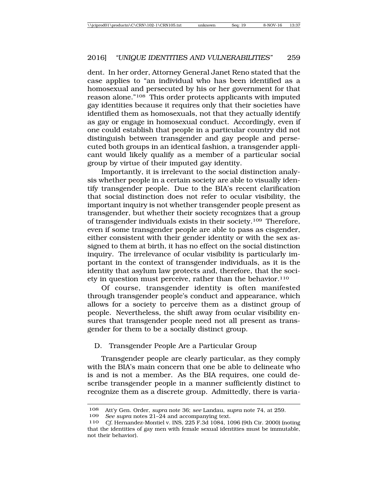dent. In her order, Attorney General Janet Reno stated that the case applies to "an individual who has been identified as a homosexual and persecuted by his or her government for that reason alone."<sup>108</sup> This order protects applicants with imputed gay identities because it requires only that their societies have identified them as homosexuals, not that they actually identify as gay or engage in homosexual conduct. Accordingly, even if one could establish that people in a particular country did not distinguish between transgender and gay people and persecuted both groups in an identical fashion, a transgender applicant would likely qualify as a member of a particular social group by virtue of their imputed gay identity.

Importantly, it is irrelevant to the social distinction analysis whether people in a certain society are able to visually identify transgender people. Due to the BIA's recent clarification that social distinction does not refer to ocular visibility, the important inquiry is not whether transgender people present as transgender, but whether their society recognizes that a group of transgender individuals exists in their society.109 Therefore, even if some transgender people are able to pass as cisgender, either consistent with their gender identity or with the sex assigned to them at birth, it has no effect on the social distinction inquiry. The irrelevance of ocular visibility is particularly important in the context of transgender individuals, as it is the identity that asylum law protects and, therefore, that the society in question must perceive, rather than the behavior.<sup>110</sup>

Of course, transgender identity is often manifested through transgender people's conduct and appearance, which allows for a society to perceive them as a distinct group of people. Nevertheless, the shift away from ocular visibility ensures that transgender people need not all present as transgender for them to be a socially distinct group.

### D. Transgender People Are a Particular Group

Transgender people are clearly particular, as they comply with the BIA's main concern that one be able to delineate who is and is not a member. As the BIA requires, one could describe transgender people in a manner sufficiently distinct to recognize them as a discrete group. Admittedly, there is varia-

See supra notes 21–24 and accompanying text.

<sup>108</sup> Att'y Gen. Order, *supra* note 36; *see* Landau, *supra* note 74, at 259.

<sup>110</sup> *Cf.* Hernandez-Montiel v. INS, 225 F.3d 1084, 1096 (9th Cir. 2000) (noting that the identities of gay men with female sexual identities must be immutable, not their behavior).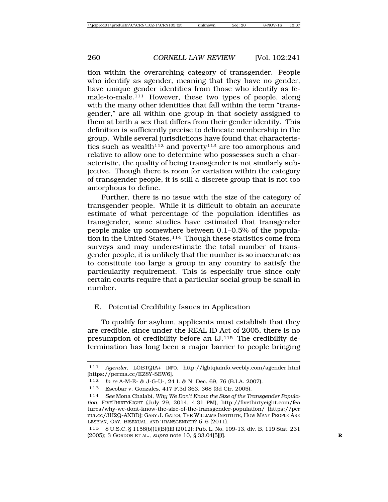tion within the overarching category of transgender. People who identify as agender, meaning that they have no gender, have unique gender identities from those who identify as female-to-male.<sup>111</sup> However, these two types of people, along with the many other identities that fall within the term "transgender," are all within one group in that society assigned to them at birth a sex that differs from their gender identity. This definition is sufficiently precise to delineate membership in the group. While several jurisdictions have found that characteristics such as wealth<sup>112</sup> and poverty<sup>113</sup> are too amorphous and relative to allow one to determine who possesses such a characteristic, the quality of being transgender is not similarly subjective. Though there is room for variation within the category of transgender people, it is still a discrete group that is not too amorphous to define.

Further, there is no issue with the size of the category of transgender people. While it is difficult to obtain an accurate estimate of what percentage of the population identifies as transgender, some studies have estimated that transgender people make up somewhere between 0.1–0.5% of the population in the United States.<sup>114</sup> Though these statistics come from surveys and may underestimate the total number of transgender people, it is unlikely that the number is so inaccurate as to constitute too large a group in any country to satisfy the particularity requirement. This is especially true since only certain courts require that a particular social group be small in number.

### E. Potential Credibility Issues in Application

To qualify for asylum, applicants must establish that they are credible, since under the REAL ID Act of 2005, there is no presumption of credibility before an IJ.115 The credibility determination has long been a major barrier to people bringing

<sup>111</sup> *Agender*, LGBTQIA+ INFO, http://lgbtqiainfo.weebly.com/agender.html [https://perma.cc/EZ8Y-SEW6].

<sup>112</sup> *In re* A-M-E- & J-G-U-, 24 I. & N. Dec. 69, 76 (B.I.A. 2007).

<sup>113</sup> Escobar v. Gonzales, 417 F.3d 363, 368 (3d Cir. 2005).

<sup>114</sup> *See* Mona Chalabi, *Why We Don't Know the Size of the Transgender Population*, FIVETHIRTYEIGHT (July 29, 2014, 4:31 PM), http://fivethirtyeight.com/fea tures/why-we-dont-know-the-size-of-the-transgender-population/ [https://per ma.cc/3H2Q-AXBD]; GARY J. GATES, THE WILLIAMS INSTITUTE, HOW MANY PEOPLE ARE LESBIAN, GAY, BISEXUAL, AND TRANSGENDER? 5–6 (2011).

<sup>115</sup> 8 U.S.C. § 1158(b)(1)(B)(iii) (2012); Pub. L. No. 109-13, div. B, 119 Stat. 231 (2005); 3 GORDON ET AL., *supra* note 10, § 33.04[5][f]. **R**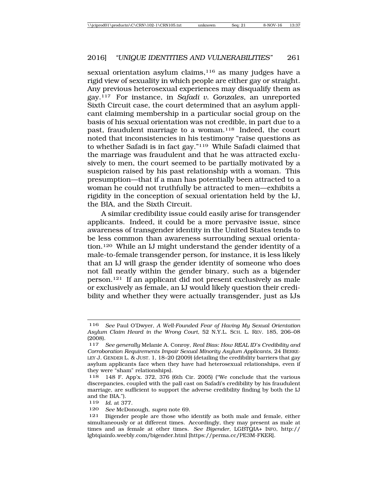sexual orientation asylum claims,<sup>116</sup> as many judges have a rigid view of sexuality in which people are either gay or straight. Any previous heterosexual experiences may disqualify them as gay.117 For instance, in *Safadi v. Gonzales*, an unreported Sixth Circuit case, the court determined that an asylum applicant claiming membership in a particular social group on the basis of his sexual orientation was not credible, in part due to a past, fraudulent marriage to a woman.<sup>118</sup> Indeed, the court noted that inconsistencies in his testimony "raise questions as to whether Safadi is in fact gay."119 While Safadi claimed that the marriage was fraudulent and that he was attracted exclusively to men, the court seemed to be partially motivated by a suspicion raised by his past relationship with a woman. This presumption—that if a man has potentially been attracted to a woman he could not truthfully be attracted to men—exhibits a rigidity in the conception of sexual orientation held by the IJ, the BIA, and the Sixth Circuit.

A similar credibility issue could easily arise for transgender applicants. Indeed, it could be a more pervasive issue, since awareness of transgender identity in the United States tends to be less common than awareness surrounding sexual orientation.120 While an IJ might understand the gender identity of a male-to-female transgender person, for instance, it is less likely that an IJ will grasp the gender identity of someone who does not fall neatly within the gender binary, such as a bigender person.121 If an applicant did not present exclusively as male or exclusively as female, an IJ would likely question their credibility and whether they were actually transgender, just as IJs

<sup>116</sup> *See* Paul O'Dwyer, *A Well-Founded Fear of Having My Sexual Orientation Asylum Claim Heard in the Wrong Court*, 52 N.Y.L. SCH. L. REV. 185, 206–08  $(2008).$ <br>117

<sup>117</sup> *See generally* Melanie A. Conroy, *Real Bias: How REAL ID's Credibility and Corroboration Requirements Impair Sexual Minority Asylum Applicants*, 24 BERKE-LEY J. GENDER L. & JUST. 1, 18–20 (2009) (detailing the credibility barriers that gay asylum applicants face when they have had heterosexual relationships, even if they were "sham" relationships).

<sup>118</sup> 148 F. App'x. 372, 376 (6th Cir. 2005) ("We conclude that the various discrepancies, coupled with the pall cast on Safadi's credibility by his fraudulent marriage, are sufficient to support the adverse credibility finding by both the IJ and the BIA.").

<sup>119</sup> *Id.* at 377.

<sup>120</sup> *See* McDonough, *supra* note 69.

Bigender people are those who identify as both male and female, either simultaneously or at different times. Accordingly, they may present as male at times and as female at other times. *See Bigender*, LGBTQIA+ INFO, http:// lgbtqiainfo.weebly.com/bigender.html [https://perma.cc/PE3M-FKER].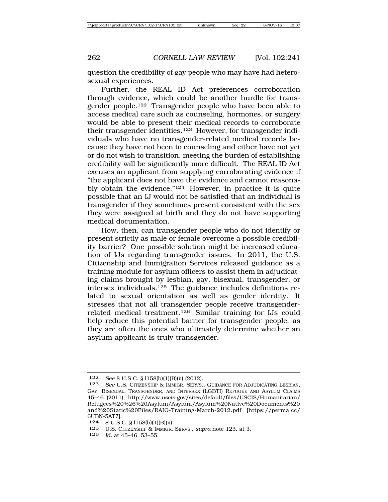question the credibility of gay people who may have had heterosexual experiences.

Further, the REAL ID Act preferences corroboration through evidence, which could be another hurdle for transgender people.122 Transgender people who have been able to access medical care such as counseling, hormones, or surgery would be able to present their medical records to corroborate their transgender identities.<sup>123</sup> However, for transgender individuals who have no transgender-related medical records because they have not been to counseling and either have not yet or do not wish to transition, meeting the burden of establishing credibility will be significantly more difficult. The REAL ID Act excuses an applicant from supplying corroborating evidence if "the applicant does not have the evidence and cannot reasonably obtain the evidence."124 However, in practice it is quite possible that an IJ would not be satisfied that an individual is transgender if they sometimes present consistent with the sex they were assigned at birth and they do not have supporting medical documentation.

How, then, can transgender people who do not identify or present strictly as male or female overcome a possible credibility barrier? One possible solution might be increased education of IJs regarding transgender issues. In 2011, the U.S. Citizenship and Immigration Services released guidance as a training module for asylum officers to assist them in adjudicating claims brought by lesbian, gay, bisexual, transgender, or intersex individuals.125 The guidance includes definitions related to sexual orientation as well as gender identity. It stresses that not all transgender people receive transgenderrelated medical treatment.126 Similar training for IJs could help reduce this potential barrier for transgender people, as they are often the ones who ultimately determine whether an asylum applicant is truly transgender.

126 *Id.* at 45–46, 53–55.

<sup>122</sup> *See* 8 U.S.C. § l158(b)(1)(B)(ii) (2012).

<sup>123</sup> *See* U.S. CITIZENSHIP & IMMIGR. SERVS., GUIDANCE FOR ADJUDICATING LESBIAN, GAY, BISEXUAL, TRANSGENDER, AND INTERSEX (LGBTI) REFUGEE AND ASYLUM CLAIMS 45–46 (2011), http://www.uscis.gov/sites/default/files/USCIS/Humanitarian/ Refugees%20%26%20Asylum/Asylum/Asylum%20Native%20Documents%20 and%20Static%20Files/RAIO-Training-March-2012.pdf [https://perma.cc/ 6UBN-5AT7].

<sup>124</sup> 8 U.S.C. § l158(b)(1)(B)(ii).

<sup>125</sup> U.S. CITIZENSHIP & IMMIGR. SERVS., *supra* note 123, at 3.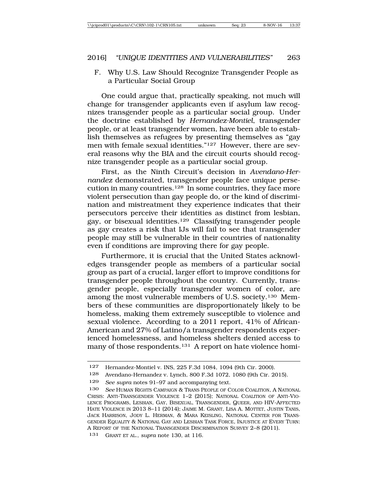F. Why U.S. Law Should Recognize Transgender People as a Particular Social Group

One could argue that, practically speaking, not much will change for transgender applicants even if asylum law recognizes transgender people as a particular social group. Under the doctrine established by *Hernandez-Montiel*, transgender people, or at least transgender women, have been able to establish themselves as refugees by presenting themselves as "gay men with female sexual identities."127 However, there are several reasons why the BIA and the circuit courts should recognize transgender people as a particular social group.

First, as the Ninth Circuit's decision in *Avendano-Hernandez* demonstrated, transgender people face unique persecution in many countries.128 In some countries, they face more violent persecution than gay people do, or the kind of discrimination and mistreatment they experience indicates that their persecutors perceive their identities as distinct from lesbian, gay, or bisexual identities.129 Classifying transgender people as gay creates a risk that IJs will fail to see that transgender people may still be vulnerable in their countries of nationality even if conditions are improving there for gay people.

Furthermore, it is crucial that the United States acknowledges transgender people as members of a particular social group as part of a crucial, larger effort to improve conditions for transgender people throughout the country. Currently, transgender people, especially transgender women of color, are among the most vulnerable members of U.S. society.130 Members of these communities are disproportionately likely to be homeless, making them extremely susceptible to violence and sexual violence. According to a 2011 report, 41% of African-American and 27% of Latino/a transgender respondents experienced homelessness, and homeless shelters denied access to many of those respondents.<sup>131</sup> A report on hate violence homi-

<sup>127</sup> Hernandez-Montiel v. INS, 225 F.3d 1084, 1094 (9th Cir. 2000).

<sup>128</sup> Avendano-Hernandez v. Lynch, 800 F.3d 1072, 1080 (9th Cir. 2015).

<sup>129</sup> *See supra* notes 91–97 and accompanying text.

<sup>130</sup> *See* HUMAN RIGHTS CAMPAIGN & TRANS PEOPLE OF COLOR COALITION, A NATIONAL CRISIS: ANTI-TRANSGENDER VIOLENCE 1–2 (2015); NATIONAL COALITION OF ANTI-VIO-LENCE PROGRAMS, LESBIAN, GAY, BISEXUAL, TRANSGENDER, QUEER, AND HIV-AFFECTED HATE VIOLENCE IN 2013 8–11 (2014); JAIME M. GRANT, LISA A. MOTTET, JUSTIN TANIS, JACK HARRISON, JODY L. HERMAN, & MARA KEISLING, NATIONAL CENTER FOR TRANS-GENDER EQUALITY & NATIONAL GAY AND LESBIAN TASK FORCE, INJUSTICE AT EVERY TURN: A REPORT OF THE NATIONAL TRANSGENDER DISCRIMINATION SURVEY 2–8 (2011).

<sup>131</sup> GRANT ET AL., *supra* note 130, at 116.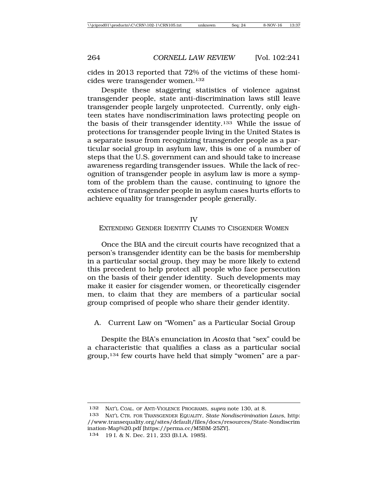cides in 2013 reported that 72% of the victims of these homicides were transgender women.132

Despite these staggering statistics of violence against transgender people, state anti-discrimination laws still leave transgender people largely unprotected. Currently, only eighteen states have nondiscrimination laws protecting people on the basis of their transgender identity.133 While the issue of protections for transgender people living in the United States is a separate issue from recognizing transgender people as a particular social group in asylum law, this is one of a number of steps that the U.S. government can and should take to increase awareness regarding transgender issues. While the lack of recognition of transgender people in asylum law is more a symptom of the problem than the cause, continuing to ignore the existence of transgender people in asylum cases hurts efforts to achieve equality for transgender people generally.

#### IV

#### EXTENDING GENDER IDENTITY CLAIMS TO CISGENDER WOMEN

Once the BIA and the circuit courts have recognized that a person's transgender identity can be the basis for membership in a particular social group, they may be more likely to extend this precedent to help protect all people who face persecution on the basis of their gender identity. Such developments may make it easier for cisgender women, or theoretically cisgender men, to claim that they are members of a particular social group comprised of people who share their gender identity.

# A. Current Law on "Women" as a Particular Social Group

Despite the BIA's enunciation in *Acosta* that "sex" could be a characteristic that qualifies a class as a particular social group,134 few courts have held that simply "women" are a par-

<sup>132</sup> NAT'L COAL. OF ANTI-VIOLENCE PROGRAMS, *supra* note 130, at 8.

<sup>133</sup> NAT'L CTR. FOR TRANSGENDER EQUALITY, *State Nondiscrimination Laws*, http: //www.transequality.org/sites/default/files/docs/resources/State-Nondiscrim ination-Map%20.pdf [https://perma.cc/M5BM-25ZY].

<sup>134</sup> 19 I. & N. Dec. 211, 233 (B.I.A. 1985).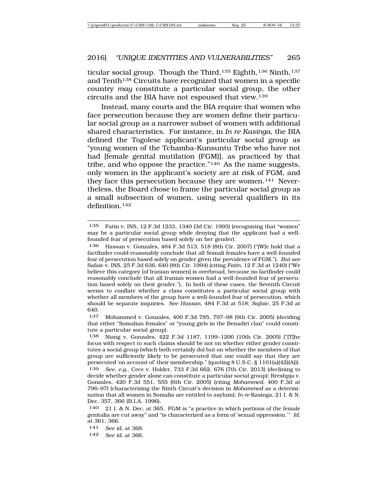ticular social group. Though the Third,<sup>135</sup> Eighth,<sup>136</sup> Ninth,<sup>137</sup> and Tenth<sup>138</sup> Circuits have recognized that women in a specific country *may* constitute a particular social group, the other circuits and the BIA have not espoused that view.139

Instead, many courts and the BIA require that women who face persecution because they are women define their particular social group as a narrower subset of women with additional shared characteristics. For instance, in *In re Kasinga*, the BIA defined the Togolese applicant's particular social group as "young women of the Tchamba-Kunsuntu Tribe who have not had [female genital mutilation (FGM)], as practiced by that tribe, and who oppose the practice."140 As the name suggests, only women in the applicant's society are at risk of FGM, and they face this persecution because they are women.141 Nevertheless, the Board chose to frame the particular social group as a small subsection of women, using several qualifiers in its definition.142

<sup>135</sup> Fatin v. INS, 12 F.3d 1233, 1340 (3d Cir. 1993) (recognizing that "women" may be a particular social group while denying that the applicant had a wellfounded fear of persecution based solely on her gender).

<sup>136</sup> Hassan v. Gonzales, 484 F.3d 513, 518 (8th Cir. 2007) ("[W]e hold that a factfinder could reasonably conclude that all Somali females have a well-founded fear of persecution based solely on gender given the prevalence of FGM."). *But see* Safaie v. INS, 25 F.3d 636, 640 (8th Cir. 1994) (citing *Fatin*, 12 F.3d at 1240) ("We believe this category [of Iranian women] is overbroad, because no factfinder could reasonably conclude that all Iranian women had a well-founded fear of persecution based solely on their gender."). In both of these cases, the Seventh Circuit seems to conflate whether a class constitutes a particular social group with whether all members of the group have a well-founded fear of persecution, which should be separate inquiries. *See Hassan*, 484 F.3d at 518; *Safaie*, 25 F.3d at 640.

<sup>137</sup> Mohammed v. Gonzales, 400 F.3d 785, 797–98 (9th Cir. 2005) (deciding that either "Somalian females" or "young girls in the Benadiri clan" could constitute a particular social group).

<sup>138</sup> Niang v. Gonzales, 422 F.3d 1187, 1199–1200 (10th Cir. 2005) ("[T]he focus with respect to such claims should be not on whether either gender constitutes a social group (which both certainly do) but on whether the members of that group are sufficiently likely to be persecuted that one could say that they are persecuted 'on account of' their membership." (quoting 8 U.S.C. § 1101(a)(42)(A))). 139 *See, e.g.*, Cece v. Holder, 733 F.3d 662, 676 (7th Cir. 2013) (declining to decide whether gender alone can constitute a particular social group); Rreshpja v. Gonzales, 420 F.3d 551, 555 (6th Cir. 2005) (citing *Mohammed*, 400 F.3d at 796–97) (characterizing the Ninth Circuit's decision in *Mohammed* as a determi-

nation that all women in Somalia are entitled to asylum); *In re* Kasinga, 21 I. & N. Dec. 357, 366 (B.I.A. 1996). 140 21 I. & N. Dec. at 365. FGM is "a practice in which portions of the female

genitalia are cut away" and "is characterized as a form of 'sexual oppression.'" *Id.* at 361, 366.

<sup>141</sup> *See id.* at 368.

<sup>142</sup> *See id.* at 366.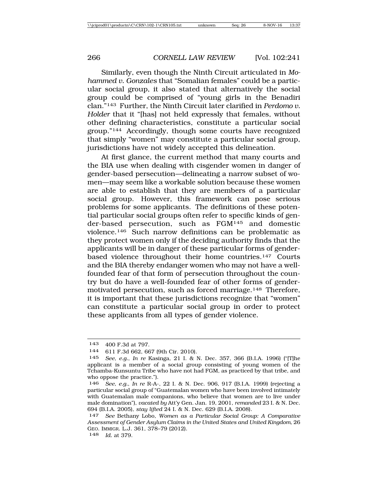Similarly, even though the Ninth Circuit articulated in *Mohammed v. Gonzales* that "Somalian females" could be a particular social group, it also stated that alternatively the social group could be comprised of "young girls in the Benadiri clan."143 Further, the Ninth Circuit later clarified in *Perdomo v. Holder* that it "[has] not held expressly that females, without other defining characteristics, constitute a particular social group."144 Accordingly, though some courts have recognized that simply "women" may constitute a particular social group, jurisdictions have not widely accepted this delineation.

At first glance, the current method that many courts and the BIA use when dealing with cisgender women in danger of gender-based persecution—delineating a narrow subset of women—may seem like a workable solution because these women are able to establish that they are members of a particular social group. However, this framework can pose serious problems for some applicants. The definitions of these potential particular social groups often refer to specific kinds of gender-based persecution, such as FGM145 and domestic violence.146 Such narrow definitions can be problematic as they protect women only if the deciding authority finds that the applicants will be in danger of these particular forms of genderbased violence throughout their home countries.147 Courts and the BIA thereby endanger women who may not have a wellfounded fear of that form of persecution throughout the country but do have a well-founded fear of other forms of gendermotivated persecution, such as forced marriage.148 Therefore, it is important that these jurisdictions recognize that "women" can constitute a particular social group in order to protect these applicants from all types of gender violence.

148 *Id.* at 379.

<sup>143</sup> 400 F.3d at 797.

<sup>144 611</sup> F.3d 662, 667 (9th Cir. 2010).<br>145 See e.g. In re Kasinga, 21 J & 1

<sup>145</sup> *See, e.g.*, *In re* Kasinga, 21 I. & N. Dec. 357, 366 (B.I.A. 1996) ("[T]he applicant is a member of a social group consisting of young women of the Tchamba-Kunsuntu Tribe who have not had FGM, as practiced by that tribe, and who oppose the practice.").

See, e.g., *In re* R-A-, 22 I. & N. Dec. 906, 917 (B.I.A. 1999) (rejecting a particular social group of "Guatemalan women who have been involved intimately with Guatemalan male companions, who believe that women are to live under male domination"), *vacated by* Att'y Gen. Jan. 19, 2001, *remanded* 23 I. & N. Dec. 694 (B.I.A. 2005), *stay lifted* 24 I. & N. Dec. 629 (B.I.A. 2008).

<sup>147</sup> *See* Bethany Lobo, *Women as a Particular Social Group: A Comparative Assessment of Gender Asylum Claims in the United States and United Kingdom*, 26 GEO. IMMIGR. L.J. 361, 378–79 (2012).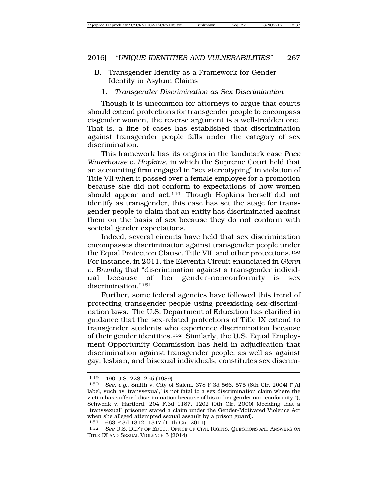- B. Transgender Identity as a Framework for Gender Identity in Asylum Claims
	- 1. *Transgender Discrimination as Sex Discrimination*

Though it is uncommon for attorneys to argue that courts should extend protections for transgender people to encompass cisgender women, the reverse argument is a well-trodden one. That is, a line of cases has established that discrimination against transgender people falls under the category of sex discrimination.

This framework has its origins in the landmark case *Price Waterhouse v. Hopkins*, in which the Supreme Court held that an accounting firm engaged in "sex stereotyping" in violation of Title VII when it passed over a female employee for a promotion because she did not conform to expectations of how women should appear and act.<sup>149</sup> Though Hopkins herself did not identify as transgender, this case has set the stage for transgender people to claim that an entity has discriminated against them on the basis of sex because they do not conform with societal gender expectations.

Indeed, several circuits have held that sex discrimination encompasses discrimination against transgender people under the Equal Protection Clause, Title VII, and other protections.150 For instance, in 2011, the Eleventh Circuit enunciated in *Glenn v. Brumby* that "discrimination against a transgender individual because of her gender-nonconformity is sex discrimination."151

Further, some federal agencies have followed this trend of protecting transgender people using preexisting sex-discrimination laws. The U.S. Department of Education has clarified in guidance that the sex-related protections of Title IX extend to transgender students who experience discrimination because of their gender identities.152 Similarly, the U.S. Equal Employment Opportunity Commission has held in adjudication that discrimination against transgender people, as well as against gay, lesbian, and bisexual individuals, constitutes sex discrim-

<sup>149</sup> 490 U.S. 228, 255 (1989).

<sup>150</sup> *See, e.g.*, Smith v. City of Salem, 378 F.3d 566, 575 (6th Cir. 2004) ("[A] label, such as 'transsexual,' is not fatal to a sex discrimination claim where the victim has suffered discrimination because of his or her gender non-conformity."); Schwenk v. Hartford, 204 F.3d 1187, 1202 (9th Cir. 2000) (deciding that a "transsexual" prisoner stated a claim under the Gender-Motivated Violence Act when she alleged attempted sexual assault by a prison guard).

<sup>151</sup> 663 F.3d 1312, 1317 (11th Cir. 2011).

<sup>152</sup> *See* U.S. DEP'T OF EDUC., OFFICE OF CIVIL RIGHTS, QUESTIONS AND ANSWERS ON TITLE IX AND SEXUAL VIOLENCE 5 (2014).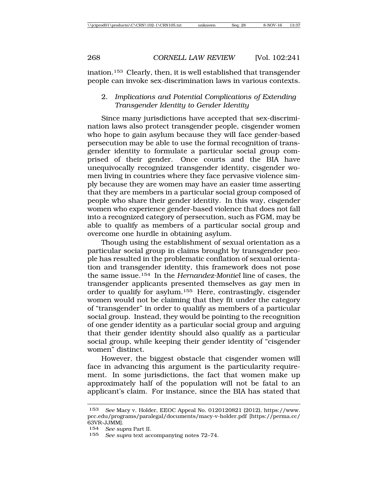ination.153 Clearly, then, it is well established that transgender people can invoke sex-discrimination laws in various contexts.

2. *Implications and Potential Complications of Extending Transgender Identity to Gender Identity*

Since many jurisdictions have accepted that sex-discrimination laws also protect transgender people, cisgender women who hope to gain asylum because they will face gender-based persecution may be able to use the formal recognition of transgender identity to formulate a particular social group comprised of their gender. Once courts and the BIA have unequivocally recognized transgender identity, cisgender women living in countries where they face pervasive violence simply because they are women may have an easier time asserting that they are members in a particular social group composed of people who share their gender identity. In this way, cisgender women who experience gender-based violence that does not fall into a recognized category of persecution, such as FGM, may be able to qualify as members of a particular social group and overcome one hurdle in obtaining asylum.

Though using the establishment of sexual orientation as a particular social group in claims brought by transgender people has resulted in the problematic conflation of sexual orientation and transgender identity, this framework does not pose the same issue.154 In the *Hernandez-Montiel* line of cases, the transgender applicants presented themselves as gay men in order to qualify for asylum.155 Here, contrastingly, cisgender women would not be claiming that they fit under the category of "transgender" in order to qualify as members of a particular social group. Instead, they would be pointing to the recognition of one gender identity as a particular social group and arguing that their gender identity should also qualify as a particular social group, while keeping their gender identity of "cisgender women" distinct.

However, the biggest obstacle that cisgender women will face in advancing this argument is the particularity requirement. In some jurisdictions, the fact that women make up approximately half of the population will not be fatal to an applicant's claim. For instance, since the BIA has stated that

<sup>153</sup> *See* Macy v. Holder, EEOC Appeal No. 0120120821 (2012), https://www. pcc.edu/programs/paralegal/documents/macy-v-holder.pdf [https://perma.cc/ 63VR-JJMM].

<sup>154</sup> *See supra* Part II.

<sup>155</sup> *See supra* text accompanying notes 72–74.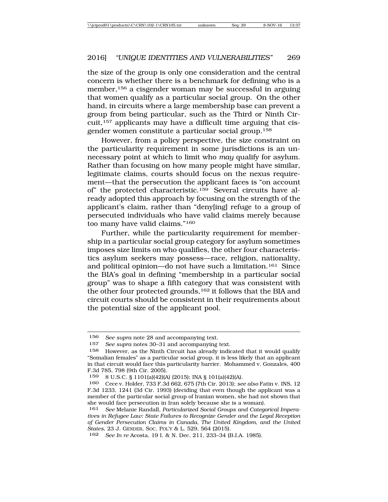the size of the group is only one consideration and the central concern is whether there is a benchmark for defining who is a member,156 a cisgender woman may be successful in arguing that women qualify as a particular social group. On the other hand, in circuits where a large membership base can prevent a group from being particular, such as the Third or Ninth Circuit,157 applicants may have a difficult time arguing that cisgender women constitute a particular social group.158

However, from a policy perspective, the size constraint on the particularity requirement in some jurisdictions is an unnecessary point at which to limit who *may* qualify for asylum. Rather than focusing on how many people might have similar, legitimate claims, courts should focus on the nexus requirement—that the persecution the applicant faces is "on account of" the protected characteristic.159 Several circuits have already adopted this approach by focusing on the strength of the applicant's claim, rather than "deny[ing] refuge to a group of persecuted individuals who have valid claims merely because too many have valid claims."160

Further, while the particularity requirement for membership in a particular social group category for asylum sometimes imposes size limits on who qualifies, the other four characteristics asylum seekers may possess—race, religion, nationality, and political opinion—do not have such a limitation.161 Since the BIA's goal in defining "membership in a particular social group" was to shape a fifth category that was consistent with the other four protected grounds,<sup>162</sup> it follows that the BIA and circuit courts should be consistent in their requirements about the potential size of the applicant pool.

<sup>156</sup> *See supra* note 28 and accompanying text.

<sup>157</sup> *See supra* notes 30–31 and accompanying text.

However, as the Ninth Circuit has already indicated that it would qualify "Somalian females" as a particular social group, it is less likely that an applicant in that circuit would face this particularity barrier. Mohammed v. Gonzales, 400 F.3d 785, 798 (9th Cir. 2005).

<sup>159</sup> 8 U.S.C. § 1101(a)(42)(A) (2015); INA § 101(a)(42)(A).

<sup>160</sup> Cece v. Holder, 733 F.3d 662, 675 (7th Cir. 2013); *see also* Fatin v. INS, 12 F.3d 1233, 1241 (3d Cir. 1993) (deciding that even though the applicant was a member of the particular social group of Iranian women, she had not shown that she would face persecution in Iran solely because she is a woman).

<sup>161</sup> *See* Melanie Randall, *Particularized Social Groups and Categorical Imperatives in Refugee Law: State Failures to Recognize Gender and the Legal Reception of Gender Persecution Claims in Canada, The United Kingdom, and the United States*, 23 J. GENDER, SOC. POL'Y & L. 529, 564 (2015).

<sup>162</sup> *See In re* Acosta, 19 I. & N. Dec. 211, 233–34 (B.I.A. 1985).